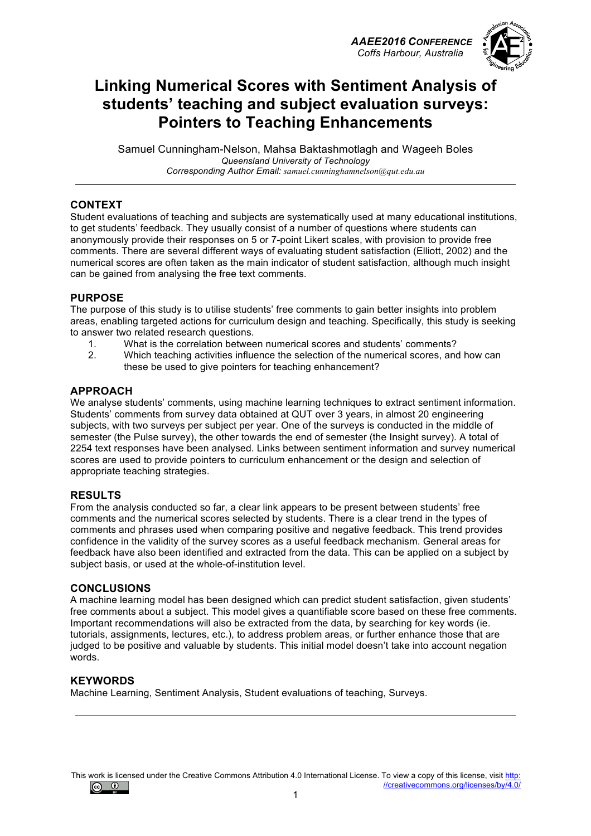*AAEE2016 CONFERENCE Coffs Harbour, Australia*



## **Linking Numerical Scores with Sentiment Analysis of students' teaching and subject evaluation surveys: Pointers to Teaching Enhancements**

Samuel Cunningham-Nelson, Mahsa Baktashmotlagh and Wageeh Boles *Queensland University of Technology Corresponding Author Email: samuel.cunninghamnelson@qut.edu.au*

#### **CONTEXT**

Student evaluations of teaching and subjects are systematically used at many educational institutions, to get students' feedback. They usually consist of a number of questions where students can anonymously provide their responses on 5 or 7-point Likert scales, with provision to provide free comments. There are several different ways of evaluating student satisfaction (Elliott, 2002) and the numerical scores are often taken as the main indicator of student satisfaction, although much insight can be gained from analysing the free text comments.

#### **PURPOSE**

The purpose of this study is to utilise students' free comments to gain better insights into problem areas, enabling targeted actions for curriculum design and teaching. Specifically, this study is seeking to answer two related research questions.

- 1. What is the correlation between numerical scores and students' comments?<br>2. Which teaching activities influence the selection of the numerical scores, and
- 2. Which teaching activities influence the selection of the numerical scores, and how can these be used to give pointers for teaching enhancement?

#### **APPROACH**

We analyse students' comments, using machine learning techniques to extract sentiment information. Students' comments from survey data obtained at QUT over 3 years, in almost 20 engineering subjects, with two surveys per subject per year. One of the surveys is conducted in the middle of semester (the Pulse survey), the other towards the end of semester (the Insight survey). A total of 2254 text responses have been analysed. Links between sentiment information and survey numerical scores are used to provide pointers to curriculum enhancement or the design and selection of appropriate teaching strategies.

#### **RESULTS**

From the analysis conducted so far, a clear link appears to be present between students' free comments and the numerical scores selected by students. There is a clear trend in the types of comments and phrases used when comparing positive and negative feedback. This trend provides confidence in the validity of the survey scores as a useful feedback mechanism. General areas for feedback have also been identified and extracted from the data. This can be applied on a subject by subject basis, or used at the whole-of-institution level.

#### **CONCLUSIONS**

A machine learning model has been designed which can predict student satisfaction, given students' free comments about a subject. This model gives a quantifiable score based on these free comments. Important recommendations will also be extracted from the data, by searching for key words (ie. tutorials, assignments, lectures, etc.), to address problem areas, or further enhance those that are judged to be positive and valuable by students. This initial model doesn't take into account negation words.

#### **KEYWORDS**

Machine Learning, Sentiment Analysis, Student evaluations of teaching, Surveys.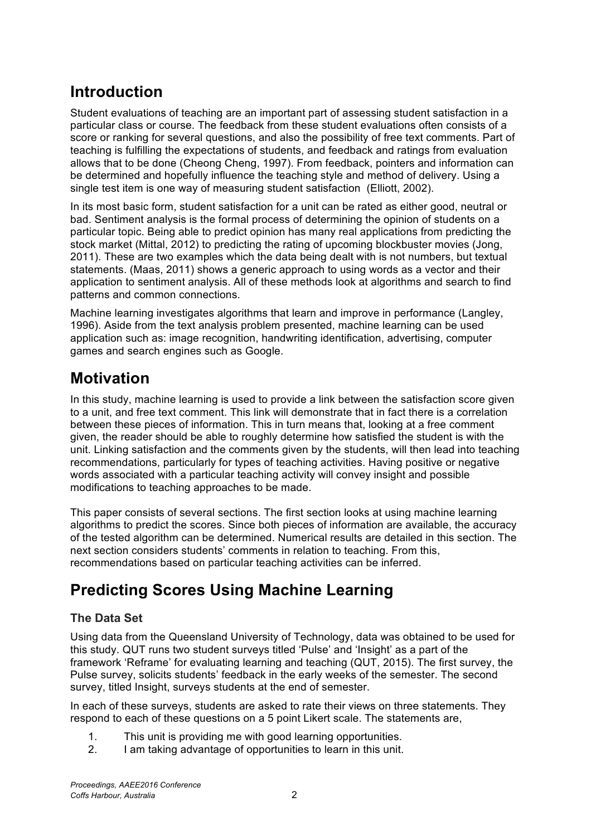# **Introduction**

Student evaluations of teaching are an important part of assessing student satisfaction in a particular class or course. The feedback from these student evaluations often consists of a score or ranking for several questions, and also the possibility of free text comments. Part of teaching is fulfilling the expectations of students, and feedback and ratings from evaluation allows that to be done (Cheong Cheng, 1997). From feedback, pointers and information can be determined and hopefully influence the teaching style and method of delivery. Using a single test item is one way of measuring student satisfaction (Elliott, 2002).

In its most basic form, student satisfaction for a unit can be rated as either good, neutral or bad. Sentiment analysis is the formal process of determining the opinion of students on a particular topic. Being able to predict opinion has many real applications from predicting the stock market (Mittal, 2012) to predicting the rating of upcoming blockbuster movies (Jong, 2011). These are two examples which the data being dealt with is not numbers, but textual statements. (Maas, 2011) shows a generic approach to using words as a vector and their application to sentiment analysis. All of these methods look at algorithms and search to find patterns and common connections.

Machine learning investigates algorithms that learn and improve in performance (Langley, 1996). Aside from the text analysis problem presented, machine learning can be used application such as: image recognition, handwriting identification, advertising, computer games and search engines such as Google.

# **Motivation**

In this study, machine learning is used to provide a link between the satisfaction score given to a unit, and free text comment. This link will demonstrate that in fact there is a correlation between these pieces of information. This in turn means that, looking at a free comment given, the reader should be able to roughly determine how satisfied the student is with the unit. Linking satisfaction and the comments given by the students, will then lead into teaching recommendations, particularly for types of teaching activities. Having positive or negative words associated with a particular teaching activity will convey insight and possible modifications to teaching approaches to be made.

This paper consists of several sections. The first section looks at using machine learning algorithms to predict the scores. Since both pieces of information are available, the accuracy of the tested algorithm can be determined. Numerical results are detailed in this section. The next section considers students' comments in relation to teaching. From this, recommendations based on particular teaching activities can be inferred.

# **Predicting Scores Using Machine Learning**

## **The Data Set**

Using data from the Queensland University of Technology, data was obtained to be used for this study. QUT runs two student surveys titled 'Pulse' and 'Insight' as a part of the framework 'Reframe' for evaluating learning and teaching (QUT, 2015). The first survey, the Pulse survey, solicits students' feedback in the early weeks of the semester. The second survey, titled Insight, surveys students at the end of semester.

In each of these surveys, students are asked to rate their views on three statements. They respond to each of these questions on a 5 point Likert scale. The statements are,

- 1. This unit is providing me with good learning opportunities.
- 2. I am taking advantage of opportunities to learn in this unit.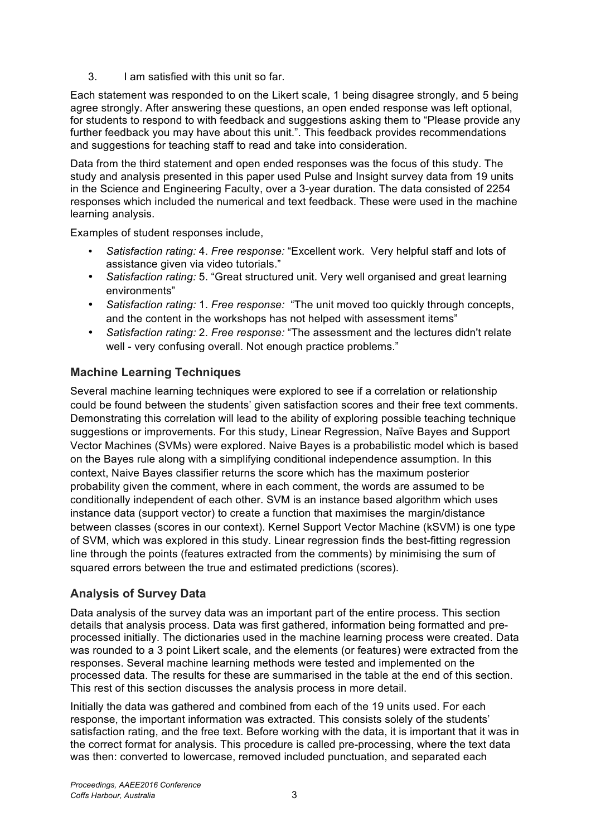3. I am satisfied with this unit so far.

Each statement was responded to on the Likert scale, 1 being disagree strongly, and 5 being agree strongly. After answering these questions, an open ended response was left optional, for students to respond to with feedback and suggestions asking them to "Please provide any further feedback you may have about this unit.". This feedback provides recommendations and suggestions for teaching staff to read and take into consideration.

Data from the third statement and open ended responses was the focus of this study. The study and analysis presented in this paper used Pulse and Insight survey data from 19 units in the Science and Engineering Faculty, over a 3-year duration. The data consisted of 2254 responses which included the numerical and text feedback. These were used in the machine learning analysis.

Examples of student responses include,

- *Satisfaction rating:* 4. *Free response:* "Excellent work. Very helpful staff and lots of assistance given via video tutorials."
- *Satisfaction rating:* 5. "Great structured unit. Very well organised and great learning environments"
- *Satisfaction rating:* 1. *Free response:* "The unit moved too quickly through concepts, and the content in the workshops has not helped with assessment items"
- *Satisfaction rating:* 2. *Free response:* "The assessment and the lectures didn't relate well - very confusing overall. Not enough practice problems."

### **Machine Learning Techniques**

Several machine learning techniques were explored to see if a correlation or relationship could be found between the students' given satisfaction scores and their free text comments. Demonstrating this correlation will lead to the ability of exploring possible teaching technique suggestions or improvements. For this study, Linear Regression, Naïve Bayes and Support Vector Machines (SVMs) were explored. Naive Bayes is a probabilistic model which is based on the Bayes rule along with a simplifying conditional independence assumption. In this context, Naive Bayes classifier returns the score which has the maximum posterior probability given the comment, where in each comment, the words are assumed to be conditionally independent of each other. SVM is an instance based algorithm which uses instance data (support vector) to create a function that maximises the margin/distance between classes (scores in our context). Kernel Support Vector Machine (kSVM) is one type of SVM, which was explored in this study. Linear regression finds the best-fitting regression line through the points (features extracted from the comments) by minimising the sum of squared errors between the true and estimated predictions (scores).

### **Analysis of Survey Data**

Data analysis of the survey data was an important part of the entire process. This section details that analysis process. Data was first gathered, information being formatted and preprocessed initially. The dictionaries used in the machine learning process were created. Data was rounded to a 3 point Likert scale, and the elements (or features) were extracted from the responses. Several machine learning methods were tested and implemented on the processed data. The results for these are summarised in the table at the end of this section. This rest of this section discusses the analysis process in more detail.

Initially the data was gathered and combined from each of the 19 units used. For each response, the important information was extracted. This consists solely of the students' satisfaction rating, and the free text. Before working with the data, it is important that it was in the correct format for analysis. This procedure is called pre-processing, where **t**he text data was then: converted to lowercase, removed included punctuation, and separated each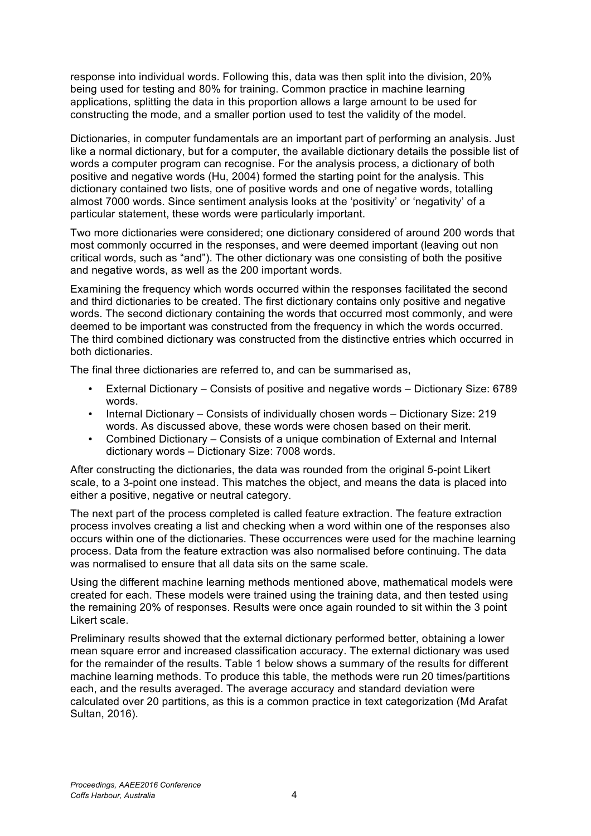response into individual words. Following this, data was then split into the division, 20% being used for testing and 80% for training. Common practice in machine learning applications, splitting the data in this proportion allows a large amount to be used for constructing the mode, and a smaller portion used to test the validity of the model.

Dictionaries, in computer fundamentals are an important part of performing an analysis. Just like a normal dictionary, but for a computer, the available dictionary details the possible list of words a computer program can recognise. For the analysis process, a dictionary of both positive and negative words (Hu, 2004) formed the starting point for the analysis. This dictionary contained two lists, one of positive words and one of negative words, totalling almost 7000 words. Since sentiment analysis looks at the 'positivity' or 'negativity' of a particular statement, these words were particularly important.

Two more dictionaries were considered; one dictionary considered of around 200 words that most commonly occurred in the responses, and were deemed important (leaving out non critical words, such as "and"). The other dictionary was one consisting of both the positive and negative words, as well as the 200 important words.

Examining the frequency which words occurred within the responses facilitated the second and third dictionaries to be created. The first dictionary contains only positive and negative words. The second dictionary containing the words that occurred most commonly, and were deemed to be important was constructed from the frequency in which the words occurred. The third combined dictionary was constructed from the distinctive entries which occurred in both dictionaries.

The final three dictionaries are referred to, and can be summarised as,

- External Dictionary Consists of positive and negative words Dictionary Size: 6789 words.
- Internal Dictionary Consists of individually chosen words Dictionary Size: 219 words. As discussed above, these words were chosen based on their merit.
- Combined Dictionary Consists of a unique combination of External and Internal dictionary words – Dictionary Size: 7008 words.

After constructing the dictionaries, the data was rounded from the original 5-point Likert scale, to a 3-point one instead. This matches the object, and means the data is placed into either a positive, negative or neutral category.

The next part of the process completed is called feature extraction. The feature extraction process involves creating a list and checking when a word within one of the responses also occurs within one of the dictionaries. These occurrences were used for the machine learning process. Data from the feature extraction was also normalised before continuing. The data was normalised to ensure that all data sits on the same scale.

Using the different machine learning methods mentioned above, mathematical models were created for each. These models were trained using the training data, and then tested using the remaining 20% of responses. Results were once again rounded to sit within the 3 point Likert scale.

Preliminary results showed that the external dictionary performed better, obtaining a lower mean square error and increased classification accuracy. The external dictionary was used for the remainder of the results. Table 1 below shows a summary of the results for different machine learning methods. To produce this table, the methods were run 20 times/partitions each, and the results averaged. The average accuracy and standard deviation were calculated over 20 partitions, as this is a common practice in text categorization (Md Arafat Sultan, 2016).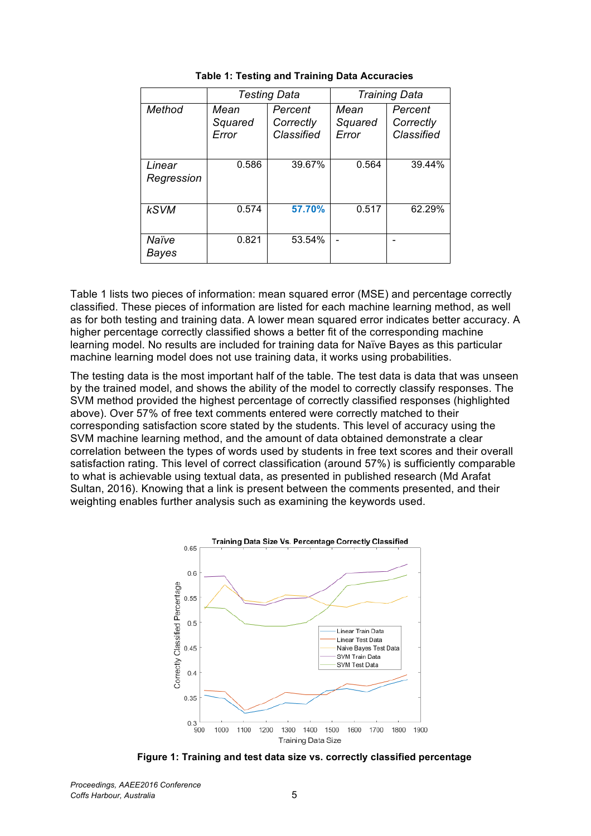|                      | <b>Testing Data</b>      |                                    | <b>Training Data</b>     |                                    |
|----------------------|--------------------------|------------------------------------|--------------------------|------------------------------------|
| Method               | Mean<br>Squared<br>Error | Percent<br>Correctly<br>Classified | Mean<br>Squared<br>Error | Percent<br>Correctly<br>Classified |
| Linear<br>Regression | 0.586                    | 39.67%                             | 0.564                    | 39.44%                             |
| <b>kSVM</b>          | 0.574                    | 57.70%                             | 0.517                    | 62.29%                             |
| Naïve<br>Bayes       | 0.821                    | 53.54%                             |                          |                                    |

**Table 1: Testing and Training Data Accuracies**

Table 1 lists two pieces of information: mean squared error (MSE) and percentage correctly classified. These pieces of information are listed for each machine learning method, as well as for both testing and training data. A lower mean squared error indicates better accuracy. A higher percentage correctly classified shows a better fit of the corresponding machine learning model. No results are included for training data for Naïve Bayes as this particular machine learning model does not use training data, it works using probabilities.

The testing data is the most important half of the table. The test data is data that was unseen by the trained model, and shows the ability of the model to correctly classify responses. The SVM method provided the highest percentage of correctly classified responses (highlighted above). Over 57% of free text comments entered were correctly matched to their corresponding satisfaction score stated by the students. This level of accuracy using the SVM machine learning method, and the amount of data obtained demonstrate a clear correlation between the types of words used by students in free text scores and their overall satisfaction rating. This level of correct classification (around 57%) is sufficiently comparable to what is achievable using textual data, as presented in published research (Md Arafat Sultan, 2016). Knowing that a link is present between the comments presented, and their weighting enables further analysis such as examining the keywords used.



**Figure 1: Training and test data size vs. correctly classified percentage**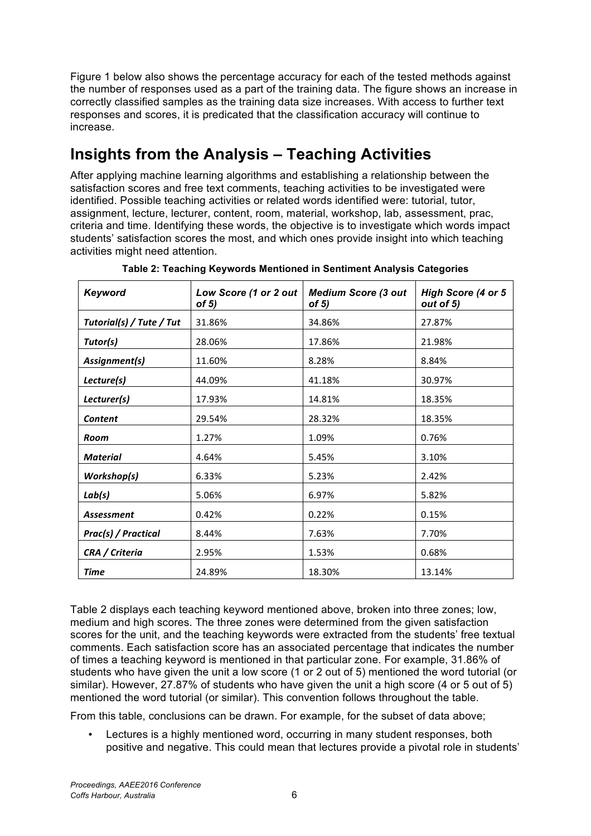Figure 1 below also shows the percentage accuracy for each of the tested methods against the number of responses used as a part of the training data. The figure shows an increase in correctly classified samples as the training data size increases. With access to further text responses and scores, it is predicated that the classification accuracy will continue to increase.

# **Insights from the Analysis – Teaching Activities**

After applying machine learning algorithms and establishing a relationship between the satisfaction scores and free text comments, teaching activities to be investigated were identified. Possible teaching activities or related words identified were: tutorial, tutor, assignment, lecture, lecturer, content, room, material, workshop, lab, assessment, prac, criteria and time. Identifying these words, the objective is to investigate which words impact students' satisfaction scores the most, and which ones provide insight into which teaching activities might need attention.

| Keyword                  | Low Score (1 or 2 out<br>of $5)$ | <b>Medium Score (3 out</b><br>of $5)$ | High Score (4 or 5<br>out of 5) |
|--------------------------|----------------------------------|---------------------------------------|---------------------------------|
| Tutorial(s) / Tute / Tut | 31.86%                           | 34.86%                                | 27.87%                          |
| Tutor(s)                 | 28.06%                           | 17.86%                                | 21.98%                          |
| Assignment(s)            | 11.60%                           | 8.28%                                 | 8.84%                           |
| Lecture(s)               | 44.09%                           | 41.18%                                | 30.97%                          |
| Lecturer(s)              | 17.93%                           | 14.81%                                | 18.35%                          |
| <b>Content</b>           | 29.54%                           | 28.32%                                | 18.35%                          |
| Room                     | 1.27%                            | 1.09%                                 | 0.76%                           |
| <b>Material</b>          | 4.64%                            | 5.45%                                 | 3.10%                           |
| Workshop(s)              | 6.33%                            | 5.23%                                 | 2.42%                           |
| Lab(s)                   | 5.06%                            | 6.97%                                 | 5.82%                           |
| Assessment               | 0.42%                            | 0.22%                                 | 0.15%                           |
| Prac(s) / Practical      | 8.44%                            | 7.63%                                 | 7.70%                           |
| CRA / Criteria           | 2.95%                            | 1.53%                                 | 0.68%                           |
| Time                     | 24.89%                           | 18.30%                                | 13.14%                          |

**Table 2: Teaching Keywords Mentioned in Sentiment Analysis Categories**

Table 2 displays each teaching keyword mentioned above, broken into three zones; low, medium and high scores. The three zones were determined from the given satisfaction scores for the unit, and the teaching keywords were extracted from the students' free textual comments. Each satisfaction score has an associated percentage that indicates the number of times a teaching keyword is mentioned in that particular zone. For example, 31.86% of students who have given the unit a low score (1 or 2 out of 5) mentioned the word tutorial (or similar). However, 27.87% of students who have given the unit a high score (4 or 5 out of 5) mentioned the word tutorial (or similar). This convention follows throughout the table.

From this table, conclusions can be drawn. For example, for the subset of data above;

• Lectures is a highly mentioned word, occurring in many student responses, both positive and negative. This could mean that lectures provide a pivotal role in students'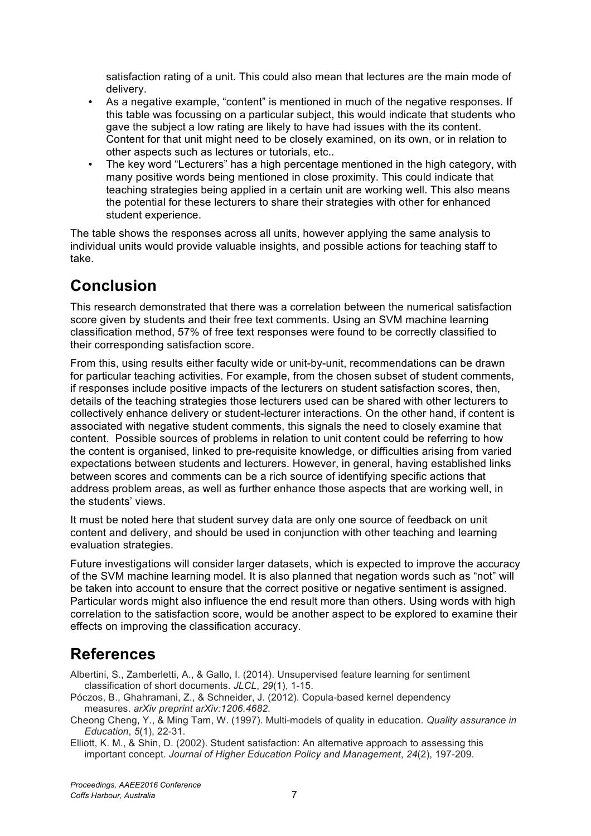satisfaction rating of a unit. This could also mean that lectures are the main mode of delivery.

- As a negative example, "content" is mentioned in much of the negative responses. If this table was focussing on a particular subject, this would indicate that students who gave the subject a low rating are likely to have had issues with the its content. Content for that unit might need to be closely examined, on its own, or in relation to other aspects such as lectures or tutorials, etc..
- The key word "Lecturers" has a high percentage mentioned in the high category, with many positive words being mentioned in close proximity. This could indicate that teaching strategies being applied in a certain unit are working well. This also means the potential for these lecturers to share their strategies with other for enhanced student experience.

The table shows the responses across all units, however applying the same analysis to individual units would provide valuable insights, and possible actions for teaching staff to take.

# **Conclusion**

This research demonstrated that there was a correlation between the numerical satisfaction score given by students and their free text comments. Using an SVM machine learning classification method, 57% of free text responses were found to be correctly classified to their corresponding satisfaction score.

From this, using results either faculty wide or unit-by-unit, recommendations can be drawn for particular teaching activities. For example, from the chosen subset of student comments, if responses include positive impacts of the lecturers on student satisfaction scores, then, details of the teaching strategies those lecturers used can be shared with other lecturers to collectively enhance delivery or student-lecturer interactions. On the other hand, if content is associated with negative student comments, this signals the need to closely examine that content. Possible sources of problems in relation to unit content could be referring to how the content is organised, linked to pre-requisite knowledge, or difficulties arising from varied expectations between students and lecturers. However, in general, having established links between scores and comments can be a rich source of identifying specific actions that address problem areas, as well as further enhance those aspects that are working well, in the students' views.

It must be noted here that student survey data are only one source of feedback on unit content and delivery, and should be used in conjunction with other teaching and learning evaluation strategies.

Future investigations will consider larger datasets, which is expected to improve the accuracy of the SVM machine learning model. It is also planned that negation words such as "not" will be taken into account to ensure that the correct positive or negative sentiment is assigned. Particular words might also influence the end result more than others. Using words with high correlation to the satisfaction score, would be another aspect to be explored to examine their effects on improving the classification accuracy.

# **References**

Albertini, S., Zamberletti, A., & Gallo, I. (2014). Unsupervised feature learning for sentiment classification of short documents. *JLCL*, *29*(1), 1-15.

Póczos, B., Ghahramani, Z., & Schneider, J. (2012). Copula-based kernel dependency measures. *arXiv preprint arXiv:1206.4682*.

Cheong Cheng, Y., & Ming Tam, W. (1997). Multi-models of quality in education. *Quality assurance in Education*, *5*(1), 22-31.

Elliott, K. M., & Shin, D. (2002). Student satisfaction: An alternative approach to assessing this important concept. *Journal of Higher Education Policy and Management*, *24*(2), 197-209.